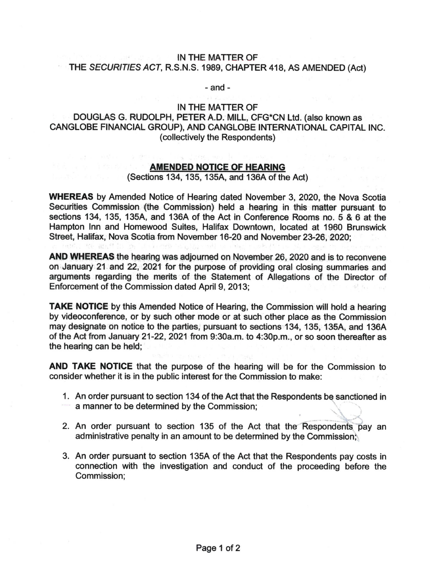## IN THE MATTER OF THE SECURITIES ACT, R.S.N.S. 1989, CHAPTER 418, AS AMENDED(Act)

- and -

#### IN THE MATTER OF

# DOUGLAS G. RUDOLPH, PETER A.D. MILL, CFG\*CNLtd. (also known as CANGLOBE FINANCIAL GROUP), AND CANGLOBE INTERNATIONAL CAPITAL INC. (collectively the Respondents)

### **AMENDED NOTICE OF HEARING**

## (Sections 134, 135, 135A, and 136A of the Act)

WHEREAS by Amended Notice of Hearing dated November 3, 2020, the Nova Scotia Securities Commission (the Commission) held a hearing in this matter pursuant to sections 134, 135, 135A, and 136A of the Act in Conference Rooms no. 5 & 6 at the Hampton Inn and Homewood Suites, Halifax Downtown, located at 1960 Brunswick Street, Halifax, Nova Scotia from November 16-20 and November 23-26, 2020;

AND WHEREAS the hearing was adjourned on November 26, 2020 and is to reconvene on January 21. and 22, 2021 for the purpose of providing oral closing summaries and arguments regarding the merits of the Statement of Allegations of the Director of Enforcement of the Commission dated April 9, 2013;

**TAKE NOTICE** by this Amended Notice of Hearing, the Commission will hold a hearing by videoconference, or by such other mode or at such other place as the Commission may designate on notice to the parties, pursuant to sections 134, 135, 135A, and 136A of the Act from January 21-22, 2021 from 9:30a.m. to 4:30p.m., or so soon thereafter as the hearing can be held;

AND TAKE NOTICE that the purpose of the hearing will be for the Commission to consider whether it is in the public interest for the Commission to make:

- 1. An order pursuant to section 134 of the Act that the Respondents be sanctioned in a manner to be determined by the Commission;
- 2. An order pursuant to section 135 of the Act that the Respondents pay an administrative penalty in an amount to be determined by the Commission;
- 3. An order pursuant to section 135A of the Act that the Respondents paycostsin connection with the investigation and conduct of the proceeding before the Commission;